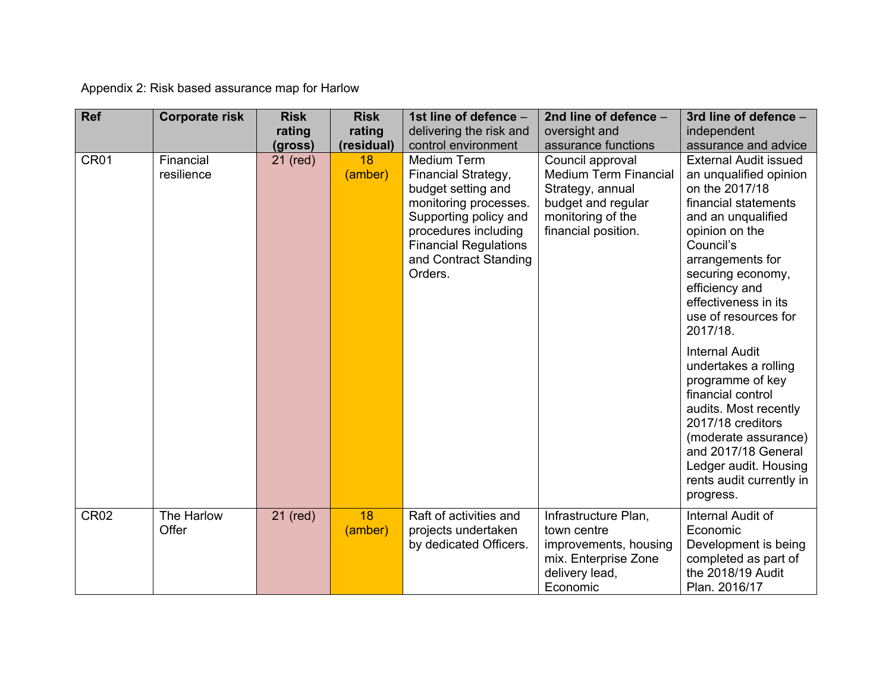Appendix 2: Risk based assurance map for Harlow

| <b>Ref</b>       | <b>Corporate risk</b>   | <b>Risk</b><br>rating | <b>Risk</b><br>rating       | 1st line of defence -<br>delivering the risk and                                                                                                                                                                                     | 2nd line of defence -<br>oversight and                                                                                                                        | 3rd line of defence -<br>independent<br>assurance and advice                                                                                                                                                                                                                                          |
|------------------|-------------------------|-----------------------|-----------------------------|--------------------------------------------------------------------------------------------------------------------------------------------------------------------------------------------------------------------------------------|---------------------------------------------------------------------------------------------------------------------------------------------------------------|-------------------------------------------------------------------------------------------------------------------------------------------------------------------------------------------------------------------------------------------------------------------------------------------------------|
| CR <sub>01</sub> | Financial<br>resilience | (gross)<br>21 (red)   | (residual)<br>18<br>(amber) | control environment<br><b>Medium Term</b><br>Financial Strategy,<br>budget setting and<br>monitoring processes.<br>Supporting policy and<br>procedures including<br><b>Financial Regulations</b><br>and Contract Standing<br>Orders. | assurance functions<br>Council approval<br><b>Medium Term Financial</b><br>Strategy, annual<br>budget and regular<br>monitoring of the<br>financial position. | <b>External Audit issued</b><br>an unqualified opinion<br>on the 2017/18<br>financial statements<br>and an unqualified<br>opinion on the<br>Council's<br>arrangements for<br>securing economy,<br>efficiency and<br>effectiveness in its<br>use of resources for<br>2017/18.<br><b>Internal Audit</b> |
|                  |                         |                       |                             |                                                                                                                                                                                                                                      |                                                                                                                                                               | undertakes a rolling<br>programme of key<br>financial control<br>audits. Most recently<br>2017/18 creditors<br>(moderate assurance)<br>and 2017/18 General<br>Ledger audit. Housing<br>rents audit currently in<br>progress.                                                                          |
| <b>CR02</b>      | The Harlow<br>Offer     | 21 (red)              | 18<br>(amber)               | Raft of activities and<br>projects undertaken<br>by dedicated Officers.                                                                                                                                                              | Infrastructure Plan,<br>town centre<br>improvements, housing<br>mix. Enterprise Zone<br>delivery lead,<br>Economic                                            | Internal Audit of<br>Economic<br>Development is being<br>completed as part of<br>the 2018/19 Audit<br>Plan. 2016/17                                                                                                                                                                                   |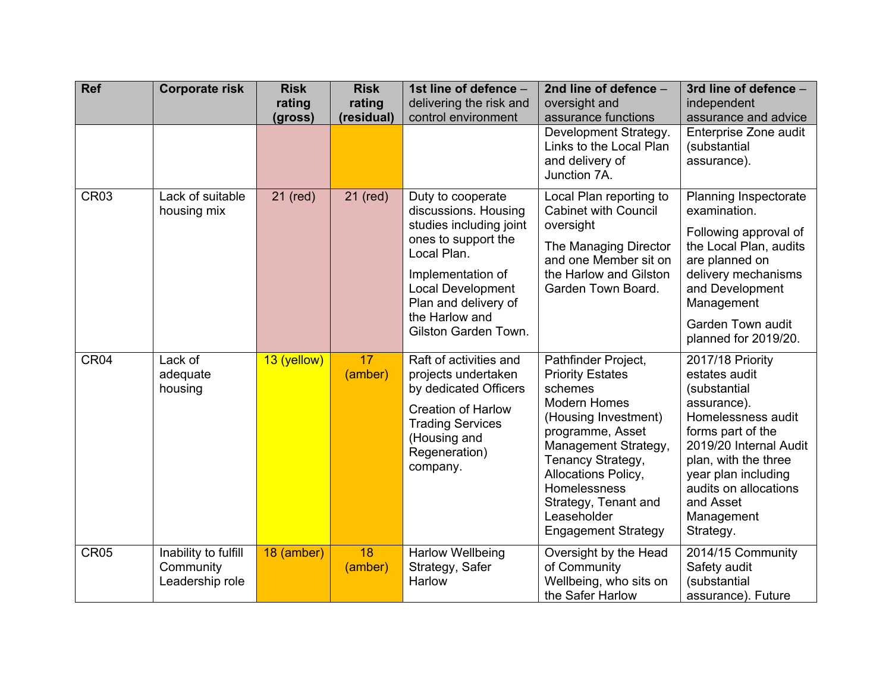| <b>Ref</b>       | <b>Corporate risk</b>                                | <b>Risk</b><br>rating<br>(gross) | <b>Risk</b><br>rating<br>(residual) | 1st line of defence -<br>delivering the risk and<br>control environment                                                                                                                                                       | 2nd line of defence -<br>oversight and<br>assurance functions<br>Development Strategy.<br>Links to the Local Plan<br>and delivery of<br>Junction 7A.                                                                                                                                         | 3rd line of defence -<br>independent<br>assurance and advice<br>Enterprise Zone audit<br>(substantial<br>assurance).                                                                                                                                  |
|------------------|------------------------------------------------------|----------------------------------|-------------------------------------|-------------------------------------------------------------------------------------------------------------------------------------------------------------------------------------------------------------------------------|----------------------------------------------------------------------------------------------------------------------------------------------------------------------------------------------------------------------------------------------------------------------------------------------|-------------------------------------------------------------------------------------------------------------------------------------------------------------------------------------------------------------------------------------------------------|
| CR <sub>03</sub> | Lack of suitable<br>housing mix                      | 21 (red)                         | 21 (red)                            | Duty to cooperate<br>discussions. Housing<br>studies including joint<br>ones to support the<br>Local Plan.<br>Implementation of<br><b>Local Development</b><br>Plan and delivery of<br>the Harlow and<br>Gilston Garden Town. | Local Plan reporting to<br><b>Cabinet with Council</b><br>oversight<br>The Managing Director<br>and one Member sit on<br>the Harlow and Gilston<br>Garden Town Board.                                                                                                                        | Planning Inspectorate<br>examination.<br>Following approval of<br>the Local Plan, audits<br>are planned on<br>delivery mechanisms<br>and Development<br>Management<br>Garden Town audit<br>planned for 2019/20.                                       |
| CR04             | Lack of<br>adequate<br>housing                       | 13 (yellow)                      | 17<br>(amber)                       | Raft of activities and<br>projects undertaken<br>by dedicated Officers<br><b>Creation of Harlow</b><br><b>Trading Services</b><br>(Housing and<br>Regeneration)<br>company.                                                   | Pathfinder Project,<br><b>Priority Estates</b><br>schemes<br><b>Modern Homes</b><br>(Housing Investment)<br>programme, Asset<br>Management Strategy,<br>Tenancy Strategy,<br><b>Allocations Policy,</b><br>Homelessness<br>Strategy, Tenant and<br>Leaseholder<br><b>Engagement Strategy</b> | 2017/18 Priority<br>estates audit<br>(substantial<br>assurance).<br>Homelessness audit<br>forms part of the<br>2019/20 Internal Audit<br>plan, with the three<br>year plan including<br>audits on allocations<br>and Asset<br>Management<br>Strategy. |
| <b>CR05</b>      | Inability to fulfill<br>Community<br>Leadership role | 18 (amber)                       | 18<br>(amber)                       | <b>Harlow Wellbeing</b><br>Strategy, Safer<br>Harlow                                                                                                                                                                          | Oversight by the Head<br>of Community<br>Wellbeing, who sits on<br>the Safer Harlow                                                                                                                                                                                                          | 2014/15 Community<br>Safety audit<br>(substantial<br>assurance). Future                                                                                                                                                                               |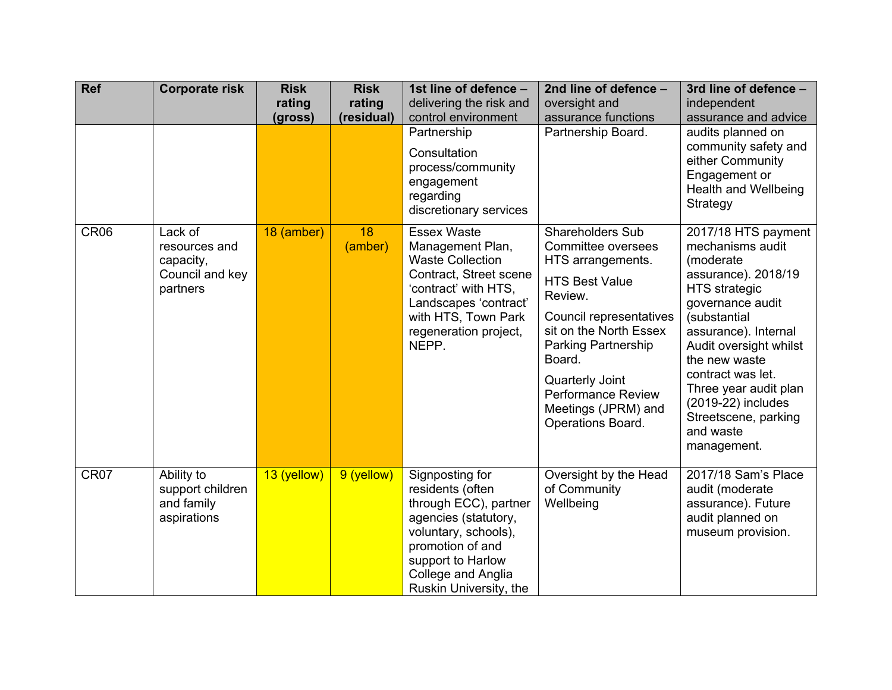| <b>Ref</b>       | <b>Corporate risk</b>                                                | <b>Risk</b><br>rating<br>(gross) | <b>Risk</b><br>rating<br>(residual) | 1st line of defence -<br>delivering the risk and<br>control environment<br>Partnership<br>Consultation<br>process/community<br>engagement<br>regarding<br>discretionary services                      | 2nd line of defence -<br>oversight and<br>assurance functions<br>Partnership Board.                                                                                                                                                                                               | 3rd line of defence -<br>independent<br>assurance and advice<br>audits planned on<br>community safety and<br>either Community<br>Engagement or<br><b>Health and Wellbeing</b><br>Strategy                                                                                                                                          |
|------------------|----------------------------------------------------------------------|----------------------------------|-------------------------------------|-------------------------------------------------------------------------------------------------------------------------------------------------------------------------------------------------------|-----------------------------------------------------------------------------------------------------------------------------------------------------------------------------------------------------------------------------------------------------------------------------------|------------------------------------------------------------------------------------------------------------------------------------------------------------------------------------------------------------------------------------------------------------------------------------------------------------------------------------|
| CR <sub>06</sub> | Lack of<br>resources and<br>capacity,<br>Council and key<br>partners | 18 (amber)                       | 18<br>(amber)                       | <b>Essex Waste</b><br>Management Plan,<br><b>Waste Collection</b><br>Contract, Street scene<br>'contract' with HTS,<br>Landscapes 'contract'<br>with HTS, Town Park<br>regeneration project,<br>NEPP. | Shareholders Sub<br>Committee oversees<br>HTS arrangements.<br><b>HTS Best Value</b><br>Review.<br>Council representatives<br>sit on the North Essex<br>Parking Partnership<br>Board.<br>Quarterly Joint<br><b>Performance Review</b><br>Meetings (JPRM) and<br>Operations Board. | 2017/18 HTS payment<br>mechanisms audit<br>(moderate<br>assurance). 2018/19<br><b>HTS</b> strategic<br>governance audit<br>(substantial<br>assurance). Internal<br>Audit oversight whilst<br>the new waste<br>contract was let.<br>Three year audit plan<br>(2019-22) includes<br>Streetscene, parking<br>and waste<br>management. |
| CR07             | Ability to<br>support children<br>and family<br>aspirations          | 13 (yellow)                      | 9 (yellow)                          | Signposting for<br>residents (often<br>through ECC), partner<br>agencies (statutory,<br>voluntary, schools),<br>promotion of and<br>support to Harlow<br>College and Anglia<br>Ruskin University, the | Oversight by the Head<br>of Community<br>Wellbeing                                                                                                                                                                                                                                | 2017/18 Sam's Place<br>audit (moderate<br>assurance). Future<br>audit planned on<br>museum provision.                                                                                                                                                                                                                              |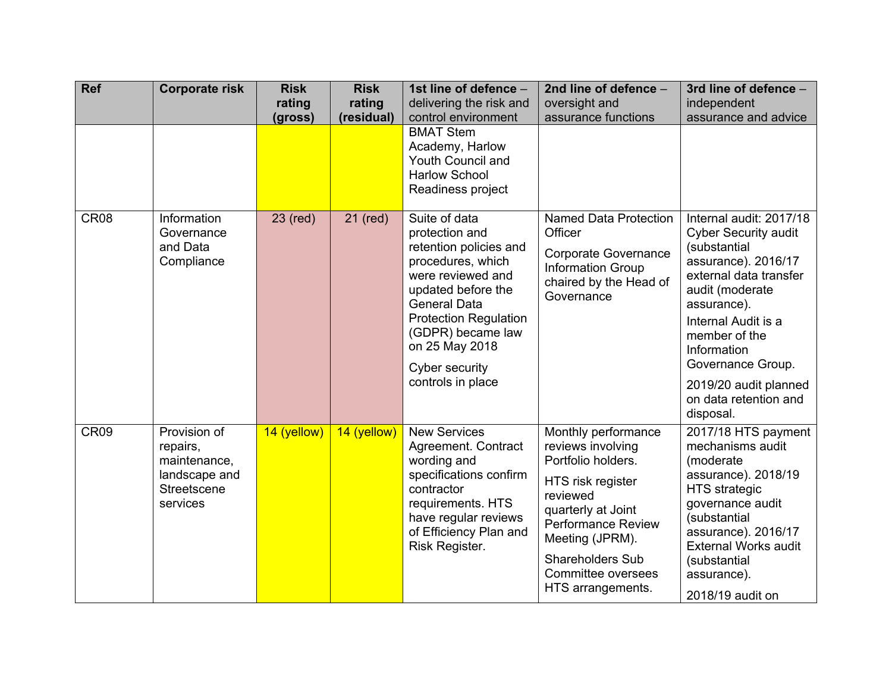| <b>Ref</b>       | <b>Corporate risk</b>                                                                | <b>Risk</b><br>rating<br>(gross) | <b>Risk</b><br>rating<br>(residual) | 1st line of defence -<br>delivering the risk and<br>control environment<br><b>BMAT Stem</b><br>Academy, Harlow<br>Youth Council and                                                                                                                            | 2nd line of defence -<br>oversight and<br>assurance functions                                                                                                                                                                               | 3rd line of defence -<br>independent<br>assurance and advice                                                                                                                                                                                                                                         |
|------------------|--------------------------------------------------------------------------------------|----------------------------------|-------------------------------------|----------------------------------------------------------------------------------------------------------------------------------------------------------------------------------------------------------------------------------------------------------------|---------------------------------------------------------------------------------------------------------------------------------------------------------------------------------------------------------------------------------------------|------------------------------------------------------------------------------------------------------------------------------------------------------------------------------------------------------------------------------------------------------------------------------------------------------|
|                  |                                                                                      |                                  |                                     | <b>Harlow School</b><br>Readiness project                                                                                                                                                                                                                      |                                                                                                                                                                                                                                             |                                                                                                                                                                                                                                                                                                      |
| <b>CR08</b>      | Information<br>Governance<br>and Data<br>Compliance                                  | 23 (red)                         | 21 (red)                            | Suite of data<br>protection and<br>retention policies and<br>procedures, which<br>were reviewed and<br>updated before the<br><b>General Data</b><br><b>Protection Regulation</b><br>(GDPR) became law<br>on 25 May 2018<br>Cyber security<br>controls in place | <b>Named Data Protection</b><br>Officer<br><b>Corporate Governance</b><br><b>Information Group</b><br>chaired by the Head of<br>Governance                                                                                                  | Internal audit: 2017/18<br><b>Cyber Security audit</b><br>(substantial<br>assurance). 2016/17<br>external data transfer<br>audit (moderate<br>assurance).<br>Internal Audit is a<br>member of the<br>Information<br>Governance Group.<br>2019/20 audit planned<br>on data retention and<br>disposal. |
| CR <sub>09</sub> | Provision of<br>repairs,<br>maintenance,<br>landscape and<br>Streetscene<br>services | 14 (yellow)                      | 14 (yellow)                         | <b>New Services</b><br>Agreement. Contract<br>wording and<br>specifications confirm<br>contractor<br>requirements. HTS<br>have regular reviews<br>of Efficiency Plan and<br>Risk Register.                                                                     | Monthly performance<br>reviews involving<br>Portfolio holders.<br>HTS risk register<br>reviewed<br>quarterly at Joint<br><b>Performance Review</b><br>Meeting (JPRM).<br><b>Shareholders Sub</b><br>Committee oversees<br>HTS arrangements. | 2017/18 HTS payment<br>mechanisms audit<br>(moderate)<br>assurance). 2018/19<br><b>HTS</b> strategic<br>governance audit<br>(substantial<br>assurance). 2016/17<br><b>External Works audit</b><br>(substantial<br>assurance).<br>2018/19 audit on                                                    |